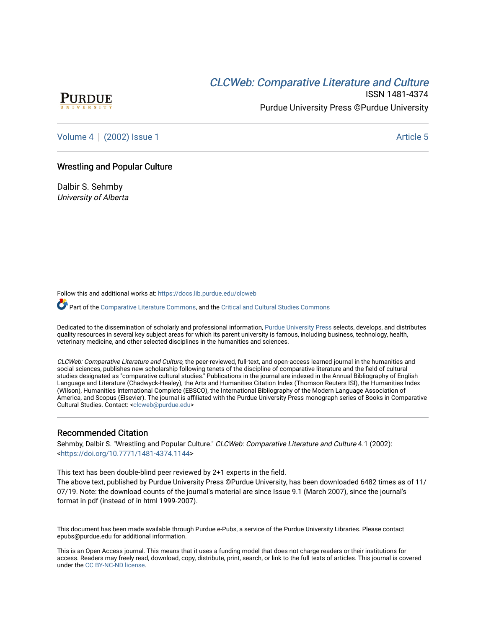# CLCW[eb: Comparative Liter](https://docs.lib.purdue.edu/clcweb)ature and Culture



ISSN 1481-4374 Purdue University Press ©Purdue University

[Volume 4](https://docs.lib.purdue.edu/clcweb/vol4) | [\(2002\) Issue 1](https://docs.lib.purdue.edu/clcweb/vol4/iss1) Article 5

### Wrestling and Popular Culture

Dalbir S. Sehmby University of Alberta

Follow this and additional works at: [https://docs.lib.purdue.edu/clcweb](https://docs.lib.purdue.edu/clcweb?utm_source=docs.lib.purdue.edu%2Fclcweb%2Fvol4%2Fiss1%2F5&utm_medium=PDF&utm_campaign=PDFCoverPages)

Part of the [Comparative Literature Commons,](http://network.bepress.com/hgg/discipline/454?utm_source=docs.lib.purdue.edu%2Fclcweb%2Fvol4%2Fiss1%2F5&utm_medium=PDF&utm_campaign=PDFCoverPages) and the [Critical and Cultural Studies Commons](http://network.bepress.com/hgg/discipline/328?utm_source=docs.lib.purdue.edu%2Fclcweb%2Fvol4%2Fiss1%2F5&utm_medium=PDF&utm_campaign=PDFCoverPages) 

Dedicated to the dissemination of scholarly and professional information, [Purdue University Press](http://www.thepress.purdue.edu/) selects, develops, and distributes quality resources in several key subject areas for which its parent university is famous, including business, technology, health, veterinary medicine, and other selected disciplines in the humanities and sciences.

CLCWeb: Comparative Literature and Culture, the peer-reviewed, full-text, and open-access learned journal in the humanities and social sciences, publishes new scholarship following tenets of the discipline of comparative literature and the field of cultural studies designated as "comparative cultural studies." Publications in the journal are indexed in the Annual Bibliography of English Language and Literature (Chadwyck-Healey), the Arts and Humanities Citation Index (Thomson Reuters ISI), the Humanities Index (Wilson), Humanities International Complete (EBSCO), the International Bibliography of the Modern Language Association of America, and Scopus (Elsevier). The journal is affiliated with the Purdue University Press monograph series of Books in Comparative Cultural Studies. Contact: [<clcweb@purdue.edu](mailto:clcweb@purdue.edu)>

### Recommended Citation

Sehmby, Dalbir S. "Wrestling and Popular Culture." CLCWeb: Comparative Literature and Culture 4.1 (2002): <<https://doi.org/10.7771/1481-4374.1144>>

This text has been double-blind peer reviewed by 2+1 experts in the field.

The above text, published by Purdue University Press ©Purdue University, has been downloaded 6482 times as of 11/ 07/19. Note: the download counts of the journal's material are since Issue 9.1 (March 2007), since the journal's format in pdf (instead of in html 1999-2007).

This document has been made available through Purdue e-Pubs, a service of the Purdue University Libraries. Please contact epubs@purdue.edu for additional information.

This is an Open Access journal. This means that it uses a funding model that does not charge readers or their institutions for access. Readers may freely read, download, copy, distribute, print, search, or link to the full texts of articles. This journal is covered under the [CC BY-NC-ND license.](https://creativecommons.org/licenses/by-nc-nd/4.0/)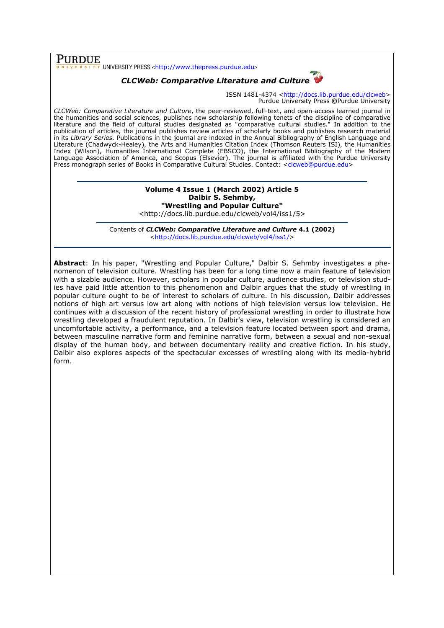## PURDUE

 $\overline{\overline{x}}$  UNIVERSITY PRESS <http://www.thepress.purdue.edu>

## CLCWeb: Comparative Literature and Culture

ISSN 1481-4374 <http://docs.lib.purdue.edu/clcweb> Purdue University Press ©Purdue University

CLCWeb: Comparative Literature and Culture, the peer-reviewed, full-text, and open-access learned journal in the humanities and social sciences, publishes new scholarship following tenets of the discipline of comparative literature and the field of cultural studies designated as "comparative cultural studies." In addition to the publication of articles, the journal publishes review articles of scholarly books and publishes research material in its Library Series. Publications in the journal are indexed in the Annual Bibliography of English Language and Literature (Chadwyck-Healey), the Arts and Humanities Citation Index (Thomson Reuters ISI), the Humanities Index (Wilson), Humanities International Complete (EBSCO), the International Bibliography of the Modern Language Association of America, and Scopus (Elsevier). The journal is affiliated with the Purdue University Press monograph series of Books in Comparative Cultural Studies. Contact: <clcweb@purdue.edu>

### Volume 4 Issue 1 (March 2002) Article 5 Dalbir S. Sehmby, "Wrestling and Popular Culture"

<http://docs.lib.purdue.edu/clcweb/vol4/iss1/5>

Contents of CLCWeb: Comparative Literature and Culture 4.1 (2002) <http://docs.lib.purdue.edu/clcweb/vol4/iss1/>

Abstract: In his paper, "Wrestling and Popular Culture," Dalbir S. Sehmby investigates a phenomenon of television culture. Wrestling has been for a long time now a main feature of television with a sizable audience. However, scholars in popular culture, audience studies, or television studies have paid little attention to this phenomenon and Dalbir argues that the study of wrestling in popular culture ought to be of interest to scholars of culture. In his discussion, Dalbir addresses notions of high art versus low art along with notions of high television versus low television. He continues with a discussion of the recent history of professional wrestling in order to illustrate how wrestling developed a fraudulent reputation. In Dalbir's view, television wrestling is considered an uncomfortable activity, a performance, and a television feature located between sport and drama, between masculine narrative form and feminine narrative form, between a sexual and non-sexual display of the human body, and between documentary reality and creative fiction. In his study, Dalbir also explores aspects of the spectacular excesses of wrestling along with its media-hybrid form.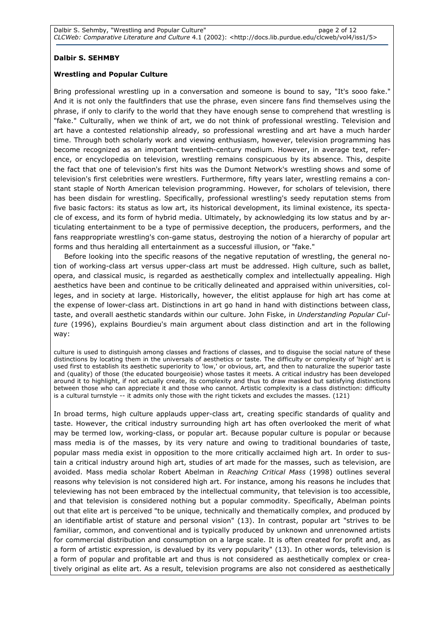### Dalbir S. SEHMBY

### Wrestling and Popular Culture

Bring professional wrestling up in a conversation and someone is bound to say, "It's sooo fake." And it is not only the faultfinders that use the phrase, even sincere fans find themselves using the phrase, if only to clarify to the world that they have enough sense to comprehend that wrestling is "fake." Culturally, when we think of art, we do not think of professional wrestling. Television and art have a contested relationship already, so professional wrestling and art have a much harder time. Through both scholarly work and viewing enthusiasm, however, television programming has become recognized as an important twentieth-century medium. However, in average text, reference, or encyclopedia on television, wrestling remains conspicuous by its absence. This, despite the fact that one of television's first hits was the Dumont Network's wrestling shows and some of television's first celebrities were wrestlers. Furthermore, fifty years later, wrestling remains a constant staple of North American television programming. However, for scholars of television, there has been disdain for wrestling. Specifically, professional wrestling's seedy reputation stems from five basic factors: its status as low art, its historical development, its liminal existence, its spectacle of excess, and its form of hybrid media. Ultimately, by acknowledging its low status and by articulating entertainment to be a type of permissive deception, the producers, performers, and the fans reappropriate wrestling's con-game status, destroying the notion of a hierarchy of popular art forms and thus heralding all entertainment as a successful illusion, or "fake."

Before looking into the specific reasons of the negative reputation of wrestling, the general notion of working-class art versus upper-class art must be addressed. High culture, such as ballet, opera, and classical music, is regarded as aesthetically complex and intellectually appealing. High aesthetics have been and continue to be critically delineated and appraised within universities, colleges, and in society at large. Historically, however, the elitist applause for high art has come at the expense of lower-class art. Distinctions in art go hand in hand with distinctions between class, taste, and overall aesthetic standards within our culture. John Fiske, in Understanding Popular Culture (1996), explains Bourdieu's main argument about class distinction and art in the following way:

culture is used to distinguish among classes and fractions of classes, and to disguise the social nature of these distinctions by locating them in the universals of aesthetics or taste. The difficulty or complexity of 'high' art is used first to establish its aesthetic superiority to 'low,' or obvious, art, and then to naturalize the superior taste and (quality) of those (the educated bourgeoisie) whose tastes it meets. A critical industry has been developed around it to highlight, if not actually create, its complexity and thus to draw masked but satisfying distinctions between those who can appreciate it and those who cannot. Artistic complexity is a class distinction: difficulty is a cultural turnstyle -- it admits only those with the right tickets and excludes the masses. (121)

In broad terms, high culture applauds upper-class art, creating specific standards of quality and taste. However, the critical industry surrounding high art has often overlooked the merit of what may be termed low, working-class, or popular art. Because popular culture is popular or because mass media is of the masses, by its very nature and owing to traditional boundaries of taste, popular mass media exist in opposition to the more critically acclaimed high art. In order to sustain a critical industry around high art, studies of art made for the masses, such as television, are avoided. Mass media scholar Robert Abelman in Reaching Critical Mass (1998) outlines several reasons why television is not considered high art. For instance, among his reasons he includes that televiewing has not been embraced by the intellectual community, that television is too accessible, and that television is considered nothing but a popular commodity. Specifically, Abelman points out that elite art is perceived "to be unique, technically and thematically complex, and produced by an identifiable artist of stature and personal vision" (13). In contrast, popular art "strives to be familiar, common, and conventional and is typically produced by unknown and unrenowned artists for commercial distribution and consumption on a large scale. It is often created for profit and, as a form of artistic expression, is devalued by its very popularity" (13). In other words, television is a form of popular and profitable art and thus is not considered as aesthetically complex or creatively original as elite art. As a result, television programs are also not considered as aesthetically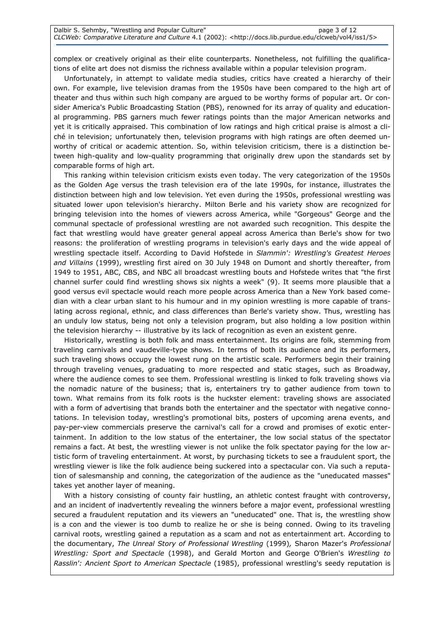complex or creatively original as their elite counterparts. Nonetheless, not fulfilling the qualifications of elite art does not dismiss the richness available within a popular television program.

Unfortunately, in attempt to validate media studies, critics have created a hierarchy of their own. For example, live television dramas from the 1950s have been compared to the high art of theater and thus within such high company are argued to be worthy forms of popular art. Or consider America's Public Broadcasting Station (PBS), renowned for its array of quality and educational programming. PBS garners much fewer ratings points than the major American networks and yet it is critically appraised. This combination of low ratings and high critical praise is almost a cliché in television; unfortunately then, television programs with high ratings are often deemed unworthy of critical or academic attention. So, within television criticism, there is a distinction between high-quality and low-quality programming that originally drew upon the standards set by comparable forms of high art.

This ranking within television criticism exists even today. The very categorization of the 1950s as the Golden Age versus the trash television era of the late 1990s, for instance, illustrates the distinction between high and low television. Yet even during the 1950s, professional wrestling was situated lower upon television's hierarchy. Milton Berle and his variety show are recognized for bringing television into the homes of viewers across America, while "Gorgeous" George and the communal spectacle of professional wrestling are not awarded such recognition. This despite the fact that wrestling would have greater general appeal across America than Berle's show for two reasons: the proliferation of wrestling programs in television's early days and the wide appeal of wrestling spectacle itself. According to David Hofstede in Slammin': Wrestling's Greatest Heroes and Villains (1999), wrestling first aired on 30 July 1948 on Dumont and shortly thereafter, from 1949 to 1951, ABC, CBS, and NBC all broadcast wrestling bouts and Hofstede writes that "the first channel surfer could find wrestling shows six nights a week" (9). It seems more plausible that a good versus evil spectacle would reach more people across America than a New York based comedian with a clear urban slant to his humour and in my opinion wrestling is more capable of translating across regional, ethnic, and class differences than Berle's variety show. Thus, wrestling has an unduly low status, being not only a television program, but also holding a low position within the television hierarchy -- illustrative by its lack of recognition as even an existent genre.

Historically, wrestling is both folk and mass entertainment. Its origins are folk, stemming from traveling carnivals and vaudeville-type shows. In terms of both its audience and its performers, such traveling shows occupy the lowest rung on the artistic scale. Performers begin their training through traveling venues, graduating to more respected and static stages, such as Broadway, where the audience comes to see them. Professional wrestling is linked to folk traveling shows via the nomadic nature of the business; that is, entertainers try to gather audience from town to town. What remains from its folk roots is the huckster element: traveling shows are associated with a form of advertising that brands both the entertainer and the spectator with negative connotations. In television today, wrestling's promotional bits, posters of upcoming arena events, and pay-per-view commercials preserve the carnival's call for a crowd and promises of exotic entertainment. In addition to the low status of the entertainer, the low social status of the spectator remains a fact. At best, the wrestling viewer is not unlike the folk spectator paying for the low artistic form of traveling entertainment. At worst, by purchasing tickets to see a fraudulent sport, the wrestling viewer is like the folk audience being suckered into a spectacular con. Via such a reputation of salesmanship and conning, the categorization of the audience as the "uneducated masses" takes yet another layer of meaning.

With a history consisting of county fair hustling, an athletic contest fraught with controversy, and an incident of inadvertently revealing the winners before a major event, professional wrestling secured a fraudulent reputation and its viewers an "uneducated" one. That is, the wrestling show is a con and the viewer is too dumb to realize he or she is being conned. Owing to its traveling carnival roots, wrestling gained a reputation as a scam and not as entertainment art. According to the documentary, The Unreal Story of Professional Wrestling (1999), Sharon Mazer's Professional Wrestling: Sport and Spectacle (1998), and Gerald Morton and George O'Brien's Wrestling to Rasslin': Ancient Sport to American Spectacle (1985), professional wrestling's seedy reputation is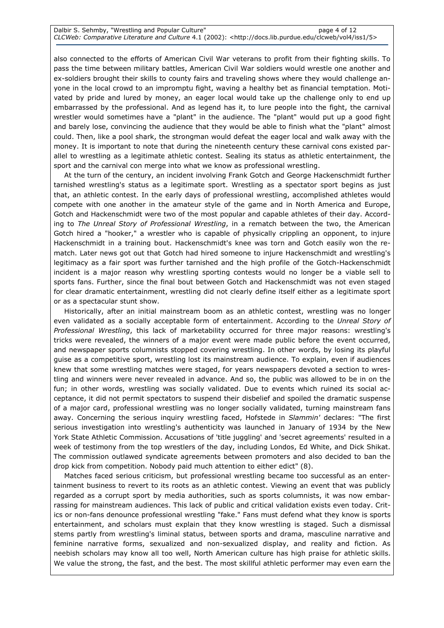also connected to the efforts of American Civil War veterans to profit from their fighting skills. To pass the time between military battles, American Civil War soldiers would wrestle one another and ex-soldiers brought their skills to county fairs and traveling shows where they would challenge anyone in the local crowd to an impromptu fight, waving a healthy bet as financial temptation. Motivated by pride and lured by money, an eager local would take up the challenge only to end up embarrassed by the professional. And as legend has it, to lure people into the fight, the carnival wrestler would sometimes have a "plant" in the audience. The "plant" would put up a good fight and barely lose, convincing the audience that they would be able to finish what the "plant" almost could. Then, like a pool shark, the strongman would defeat the eager local and walk away with the money. It is important to note that during the nineteenth century these carnival cons existed parallel to wrestling as a legitimate athletic contest. Sealing its status as athletic entertainment, the sport and the carnival con merge into what we know as professional wrestling.

At the turn of the century, an incident involving Frank Gotch and George Hackenschmidt further tarnished wrestling's status as a legitimate sport. Wrestling as a spectator sport begins as just that, an athletic contest. In the early days of professional wrestling, accomplished athletes would compete with one another in the amateur style of the game and in North America and Europe, Gotch and Hackenschmidt were two of the most popular and capable athletes of their day. According to The Unreal Story of Professional Wrestling, in a rematch between the two, the American Gotch hired a "hooker," a wrestler who is capable of physically crippling an opponent, to injure Hackenschmidt in a training bout. Hackenschmidt's knee was torn and Gotch easily won the rematch. Later news got out that Gotch had hired someone to injure Hackenschmidt and wrestling's legitimacy as a fair sport was further tarnished and the high profile of the Gotch-Hackenschmidt incident is a major reason why wrestling sporting contests would no longer be a viable sell to sports fans. Further, since the final bout between Gotch and Hackenschmidt was not even staged for clear dramatic entertainment, wrestling did not clearly define itself either as a legitimate sport or as a spectacular stunt show.

Historically, after an initial mainstream boom as an athletic contest, wrestling was no longer even validated as a socially acceptable form of entertainment. According to the Unreal Story of Professional Wrestling, this lack of marketability occurred for three major reasons: wrestling's tricks were revealed, the winners of a major event were made public before the event occurred, and newspaper sports columnists stopped covering wrestling. In other words, by losing its playful guise as a competitive sport, wrestling lost its mainstream audience. To explain, even if audiences knew that some wrestling matches were staged, for years newspapers devoted a section to wrestling and winners were never revealed in advance. And so, the public was allowed to be in on the fun; in other words, wrestling was socially validated. Due to events which ruined its social acceptance, it did not permit spectators to suspend their disbelief and spoiled the dramatic suspense of a major card, professional wrestling was no longer socially validated, turning mainstream fans away. Concerning the serious inquiry wrestling faced, Hofstede in Slammin' declares: "The first serious investigation into wrestling's authenticity was launched in January of 1934 by the New York State Athletic Commission. Accusations of 'title juggling' and 'secret agreements' resulted in a week of testimony from the top wrestlers of the day, including Londos, Ed White, and Dick Shikat. The commission outlawed syndicate agreements between promoters and also decided to ban the drop kick from competition. Nobody paid much attention to either edict" (8).

Matches faced serious criticism, but professional wrestling became too successful as an entertainment business to revert to its roots as an athletic contest. Viewing an event that was publicly regarded as a corrupt sport by media authorities, such as sports columnists, it was now embarrassing for mainstream audiences. This lack of public and critical validation exists even today. Critics or non-fans denounce professional wrestling "fake." Fans must defend what they know is sports entertainment, and scholars must explain that they know wrestling is staged. Such a dismissal stems partly from wrestling's liminal status, between sports and drama, masculine narrative and feminine narrative forms, sexualized and non-sexualized display, and reality and fiction. As neebish scholars may know all too well, North American culture has high praise for athletic skills. We value the strong, the fast, and the best. The most skillful athletic performer may even earn the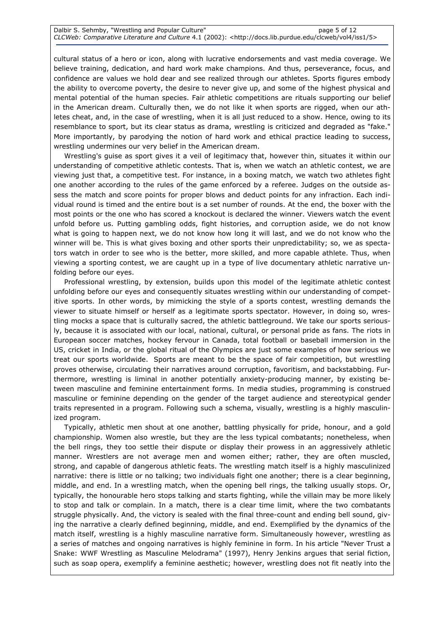cultural status of a hero or icon, along with lucrative endorsements and vast media coverage. We believe training, dedication, and hard work make champions. And thus, perseverance, focus, and confidence are values we hold dear and see realized through our athletes. Sports figures embody the ability to overcome poverty, the desire to never give up, and some of the highest physical and mental potential of the human species. Fair athletic competitions are rituals supporting our belief in the American dream. Culturally then, we do not like it when sports are rigged, when our athletes cheat, and, in the case of wrestling, when it is all just reduced to a show. Hence, owing to its resemblance to sport, but its clear status as drama, wrestling is criticized and degraded as "fake." More importantly, by parodying the notion of hard work and ethical practice leading to success, wrestling undermines our very belief in the American dream.

Wrestling's guise as sport gives it a veil of legitimacy that, however thin, situates it within our understanding of competitive athletic contests. That is, when we watch an athletic contest, we are viewing just that, a competitive test. For instance, in a boxing match, we watch two athletes fight one another according to the rules of the game enforced by a referee. Judges on the outside assess the match and score points for proper blows and deduct points for any infraction. Each individual round is timed and the entire bout is a set number of rounds. At the end, the boxer with the most points or the one who has scored a knockout is declared the winner. Viewers watch the event unfold before us. Putting gambling odds, fight histories, and corruption aside, we do not know what is going to happen next, we do not know how long it will last, and we do not know who the winner will be. This is what gives boxing and other sports their unpredictability; so, we as spectators watch in order to see who is the better, more skilled, and more capable athlete. Thus, when viewing a sporting contest, we are caught up in a type of live documentary athletic narrative unfolding before our eyes.

Professional wrestling, by extension, builds upon this model of the legitimate athletic contest unfolding before our eyes and consequently situates wrestling within our understanding of competitive sports. In other words, by mimicking the style of a sports contest, wrestling demands the viewer to situate himself or herself as a legitimate sports spectator. However, in doing so, wrestling mocks a space that is culturally sacred, the athletic battleground. We take our sports seriously, because it is associated with our local, national, cultural, or personal pride as fans. The riots in European soccer matches, hockey fervour in Canada, total football or baseball immersion in the US, cricket in India, or the global ritual of the Olympics are just some examples of how serious we treat our sports worldwide. Sports are meant to be the space of fair competition, but wrestling proves otherwise, circulating their narratives around corruption, favoritism, and backstabbing. Furthermore, wrestling is liminal in another potentially anxiety-producing manner, by existing between masculine and feminine entertainment forms. In media studies, programming is construed masculine or feminine depending on the gender of the target audience and stereotypical gender traits represented in a program. Following such a schema, visually, wrestling is a highly masculinized program.

Typically, athletic men shout at one another, battling physically for pride, honour, and a gold championship. Women also wrestle, but they are the less typical combatants; nonetheless, when the bell rings, they too settle their dispute or display their prowess in an aggressively athletic manner. Wrestlers are not average men and women either; rather, they are often muscled, strong, and capable of dangerous athletic feats. The wrestling match itself is a highly masculinized narrative: there is little or no talking; two individuals fight one another; there is a clear beginning, middle, and end. In a wrestling match, when the opening bell rings, the talking usually stops. Or, typically, the honourable hero stops talking and starts fighting, while the villain may be more likely to stop and talk or complain. In a match, there is a clear time limit, where the two combatants struggle physically. And, the victory is sealed with the final three-count and ending bell sound, giving the narrative a clearly defined beginning, middle, and end. Exemplified by the dynamics of the match itself, wrestling is a highly masculine narrative form. Simultaneously however, wrestling as a series of matches and ongoing narratives is highly feminine in form. In his article "Never Trust a Snake: WWF Wrestling as Masculine Melodrama" (1997), Henry Jenkins argues that serial fiction, such as soap opera, exemplify a feminine aesthetic; however, wrestling does not fit neatly into the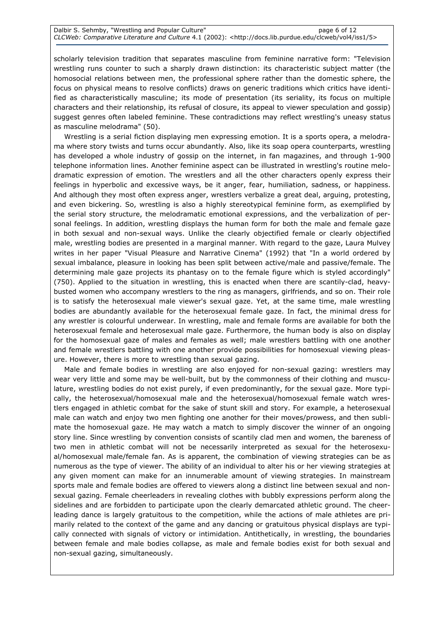scholarly television tradition that separates masculine from feminine narrative form: "Television wrestling runs counter to such a sharply drawn distinction: its characteristic subject matter (the homosocial relations between men, the professional sphere rather than the domestic sphere, the focus on physical means to resolve conflicts) draws on generic traditions which critics have identified as characteristically masculine; its mode of presentation (its seriality, its focus on multiple characters and their relationship, its refusal of closure, its appeal to viewer speculation and gossip) suggest genres often labeled feminine. These contradictions may reflect wrestling's uneasy status as masculine melodrama" (50).

Wrestling is a serial fiction displaying men expressing emotion. It is a sports opera, a melodrama where story twists and turns occur abundantly. Also, like its soap opera counterparts, wrestling has developed a whole industry of gossip on the internet, in fan magazines, and through 1-900 telephone information lines. Another feminine aspect can be illustrated in wrestling's routine melodramatic expression of emotion. The wrestlers and all the other characters openly express their feelings in hyperbolic and excessive ways, be it anger, fear, humiliation, sadness, or happiness. And although they most often express anger, wrestlers verbalize a great deal, arguing, protesting, and even bickering. So, wrestling is also a highly stereotypical feminine form, as exemplified by the serial story structure, the melodramatic emotional expressions, and the verbalization of personal feelings. In addition, wrestling displays the human form for both the male and female gaze in both sexual and non-sexual ways. Unlike the clearly objectified female or clearly objectified male, wrestling bodies are presented in a marginal manner. With regard to the gaze, Laura Mulvey writes in her paper "Visual Pleasure and Narrative Cinema" (1992) that "In a world ordered by sexual imbalance, pleasure in looking has been split between active/male and passive/female. The determining male gaze projects its phantasy on to the female figure which is styled accordingly" (750). Applied to the situation in wrestling, this is enacted when there are scantily-clad, heavybusted women who accompany wrestlers to the ring as managers, girlfriends, and so on. Their role is to satisfy the heterosexual male viewer's sexual gaze. Yet, at the same time, male wrestling bodies are abundantly available for the heterosexual female gaze. In fact, the minimal dress for any wrestler is colourful underwear. In wrestling, male and female forms are available for both the heterosexual female and heterosexual male gaze. Furthermore, the human body is also on display for the homosexual gaze of males and females as well; male wrestlers battling with one another and female wrestlers battling with one another provide possibilities for homosexual viewing pleasure. However, there is more to wrestling than sexual gazing.

Male and female bodies in wrestling are also enjoyed for non-sexual gazing: wrestlers may wear very little and some may be well-built, but by the commonness of their clothing and musculature, wrestling bodies do not exist purely, if even predominantly, for the sexual gaze. More typically, the heterosexual/homosexual male and the heterosexual/homosexual female watch wrestlers engaged in athletic combat for the sake of stunt skill and story. For example, a heterosexual male can watch and enjoy two men fighting one another for their moves/prowess, and then sublimate the homosexual gaze. He may watch a match to simply discover the winner of an ongoing story line. Since wrestling by convention consists of scantily clad men and women, the bareness of two men in athletic combat will not be necessarily interpreted as sexual for the heterosexual/homosexual male/female fan. As is apparent, the combination of viewing strategies can be as numerous as the type of viewer. The ability of an individual to alter his or her viewing strategies at any given moment can make for an innumerable amount of viewing strategies. In mainstream sports male and female bodies are offered to viewers along a distinct line between sexual and nonsexual gazing. Female cheerleaders in revealing clothes with bubbly expressions perform along the sidelines and are forbidden to participate upon the clearly demarcated athletic ground. The cheerleading dance is largely gratuitous to the competition, while the actions of male athletes are primarily related to the context of the game and any dancing or gratuitous physical displays are typically connected with signals of victory or intimidation. Antithetically, in wrestling, the boundaries between female and male bodies collapse, as male and female bodies exist for both sexual and non-sexual gazing, simultaneously.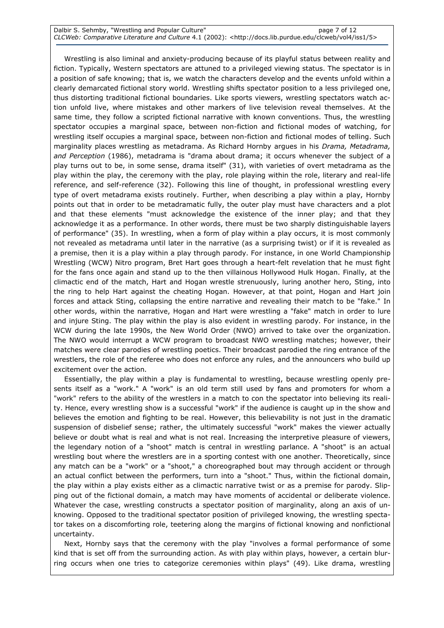Wrestling is also liminal and anxiety-producing because of its playful status between reality and fiction. Typically, Western spectators are attuned to a privileged viewing status. The spectator is in a position of safe knowing; that is, we watch the characters develop and the events unfold within a clearly demarcated fictional story world. Wrestling shifts spectator position to a less privileged one, thus distorting traditional fictional boundaries. Like sports viewers, wrestling spectators watch action unfold live, where mistakes and other markers of live television reveal themselves. At the same time, they follow a scripted fictional narrative with known conventions. Thus, the wrestling spectator occupies a marginal space, between non-fiction and fictional modes of watching, for wrestling itself occupies a marginal space, between non-fiction and fictional modes of telling. Such marginality places wrestling as metadrama. As Richard Hornby argues in his *Drama, Metadrama*, and Perception (1986), metadrama is "drama about drama; it occurs whenever the subject of a play turns out to be, in some sense, drama itself" (31), with varieties of overt metadrama as the play within the play, the ceremony with the play, role playing within the role, literary and real-life reference, and self-reference (32). Following this line of thought, in professional wrestling every type of overt metadrama exists routinely. Further, when describing a play within a play, Hornby points out that in order to be metadramatic fully, the outer play must have characters and a plot and that these elements "must acknowledge the existence of the inner play; and that they acknowledge it as a performance. In other words, there must be two sharply distinguishable layers of performance" (35). In wrestling, when a form of play within a play occurs, it is most commonly not revealed as metadrama until later in the narrative (as a surprising twist) or if it is revealed as a premise, then it is a play within a play through parody. For instance, in one World Championship Wrestling (WCW) Nitro program, Bret Hart goes through a heart-felt revelation that he must fight for the fans once again and stand up to the then villainous Hollywood Hulk Hogan. Finally, at the climactic end of the match, Hart and Hogan wrestle strenuously, luring another hero, Sting, into the ring to help Hart against the cheating Hogan. However, at that point, Hogan and Hart join forces and attack Sting, collapsing the entire narrative and revealing their match to be "fake." In other words, within the narrative, Hogan and Hart were wrestling a "fake" match in order to lure and injure Sting. The play within the play is also evident in wrestling parody. For instance, in the WCW during the late 1990s, the New World Order (NWO) arrived to take over the organization. The NWO would interrupt a WCW program to broadcast NWO wrestling matches; however, their matches were clear parodies of wrestling poetics. Their broadcast parodied the ring entrance of the wrestlers, the role of the referee who does not enforce any rules, and the announcers who build up excitement over the action.

Essentially, the play within a play is fundamental to wrestling, because wrestling openly presents itself as a "work." A "work" is an old term still used by fans and promoters for whom a "work" refers to the ability of the wrestlers in a match to con the spectator into believing its reality. Hence, every wrestling show is a successful "work" if the audience is caught up in the show and believes the emotion and fighting to be real. However, this believability is not just in the dramatic suspension of disbelief sense; rather, the ultimately successful "work" makes the viewer actually believe or doubt what is real and what is not real. Increasing the interpretive pleasure of viewers, the legendary notion of a "shoot" match is central in wrestling parlance. A "shoot" is an actual wrestling bout where the wrestlers are in a sporting contest with one another. Theoretically, since any match can be a "work" or a "shoot," a choreographed bout may through accident or through an actual conflict between the performers, turn into a "shoot." Thus, within the fictional domain, the play within a play exists either as a climactic narrative twist or as a premise for parody. Slipping out of the fictional domain, a match may have moments of accidental or deliberate violence. Whatever the case, wrestling constructs a spectator position of marginality, along an axis of unknowing. Opposed to the traditional spectator position of privileged knowing, the wrestling spectator takes on a discomforting role, teetering along the margins of fictional knowing and nonfictional uncertainty.

Next, Hornby says that the ceremony with the play "involves a formal performance of some kind that is set off from the surrounding action. As with play within plays, however, a certain blurring occurs when one tries to categorize ceremonies within plays" (49). Like drama, wrestling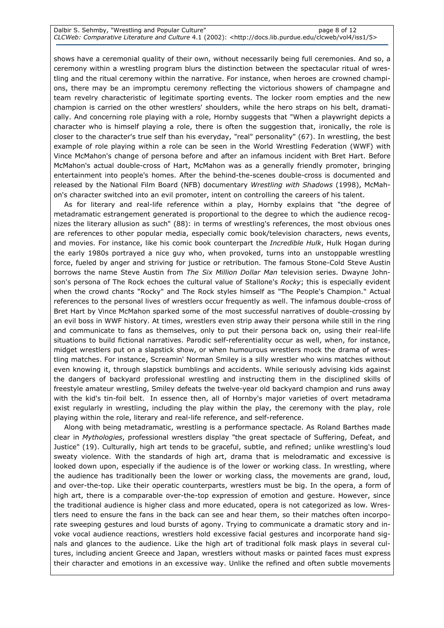shows have a ceremonial quality of their own, without necessarily being full ceremonies. And so, a ceremony within a wrestling program blurs the distinction between the spectacular ritual of wrestling and the ritual ceremony within the narrative. For instance, when heroes are crowned champions, there may be an impromptu ceremony reflecting the victorious showers of champagne and team revelry characteristic of legitimate sporting events. The locker room empties and the new champion is carried on the other wrestlers' shoulders, while the hero straps on his belt, dramatically. And concerning role playing with a role, Hornby suggests that "When a playwright depicts a character who is himself playing a role, there is often the suggestion that, ironically, the role is closer to the character's true self than his everyday, "real" personality" (67). In wrestling, the best example of role playing within a role can be seen in the World Wrestling Federation (WWF) with Vince McMahon's change of persona before and after an infamous incident with Bret Hart. Before McMahon's actual double-cross of Hart, McMahon was as a generally friendly promoter, bringing entertainment into people's homes. After the behind-the-scenes double-cross is documented and released by the National Film Board (NFB) documentary Wrestling with Shadows (1998), McMahon's character switched into an evil promoter, intent on controlling the careers of his talent.

As for literary and real-life reference within a play, Hornby explains that "the degree of metadramatic estrangement generated is proportional to the degree to which the audience recognizes the literary allusion as such" (88): in terms of wrestling's references, the most obvious ones are references to other popular media, especially comic book/television characters, news events, and movies. For instance, like his comic book counterpart the Incredible Hulk, Hulk Hogan during the early 1980s portrayed a nice guy who, when provoked, turns into an unstoppable wrestling force, fueled by anger and striving for justice or retribution. The famous Stone-Cold Steve Austin borrows the name Steve Austin from The Six Million Dollar Man television series. Dwayne Johnson's persona of The Rock echoes the cultural value of Stallone's Rocky; this is especially evident when the crowd chants "Rocky" and The Rock styles himself as "The People's Champion." Actual references to the personal lives of wrestlers occur frequently as well. The infamous double-cross of Bret Hart by Vince McMahon sparked some of the most successful narratives of double-crossing by an evil boss in WWF history. At times, wrestlers even strip away their persona while still in the ring and communicate to fans as themselves, only to put their persona back on, using their real-life situations to build fictional narratives. Parodic self-referentiality occur as well, when, for instance, midget wrestlers put on a slapstick show, or when humourous wrestlers mock the drama of wrestling matches. For instance, Screamin' Norman Smiley is a silly wrestler who wins matches without even knowing it, through slapstick bumblings and accidents. While seriously advising kids against the dangers of backyard professional wrestling and instructing them in the disciplined skills of freestyle amateur wrestling, Smiley defeats the twelve-year old backyard champion and runs away with the kid's tin-foil belt. In essence then, all of Hornby's major varieties of overt metadrama exist regularly in wrestling, including the play within the play, the ceremony with the play, role playing within the role, literary and real-life reference, and self-reference.

Along with being metadramatic, wrestling is a performance spectacle. As Roland Barthes made clear in Mythologies, professional wrestlers display "the great spectacle of Suffering, Defeat, and Justice" (19). Culturally, high art tends to be graceful, subtle, and refined; unlike wrestling's loud sweaty violence. With the standards of high art, drama that is melodramatic and excessive is looked down upon, especially if the audience is of the lower or working class. In wrestling, where the audience has traditionally been the lower or working class, the movements are grand, loud, and over-the-top. Like their operatic counterparts, wrestlers must be big. In the opera, a form of high art, there is a comparable over-the-top expression of emotion and gesture. However, since the traditional audience is higher class and more educated, opera is not categorized as low. Wrestlers need to ensure the fans in the back can see and hear them, so their matches often incorporate sweeping gestures and loud bursts of agony. Trying to communicate a dramatic story and invoke vocal audience reactions, wrestlers hold excessive facial gestures and incorporate hand signals and glances to the audience. Like the high art of traditional folk mask plays in several cultures, including ancient Greece and Japan, wrestlers without masks or painted faces must express their character and emotions in an excessive way. Unlike the refined and often subtle movements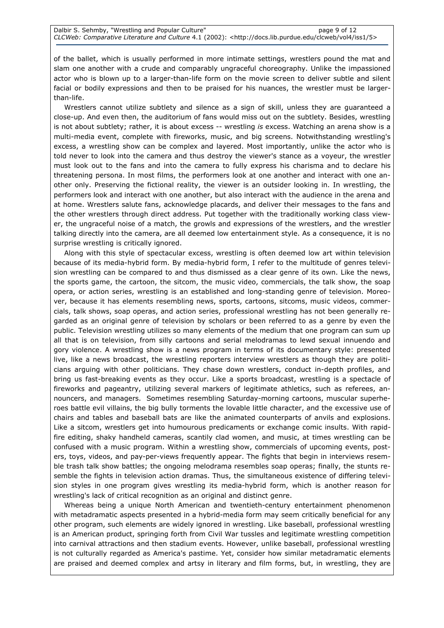of the ballet, which is usually performed in more intimate settings, wrestlers pound the mat and slam one another with a crude and comparably ungraceful choreography. Unlike the impassioned actor who is blown up to a larger-than-life form on the movie screen to deliver subtle and silent facial or bodily expressions and then to be praised for his nuances, the wrestler must be largerthan-life.

Wrestlers cannot utilize subtlety and silence as a sign of skill, unless they are guaranteed a close-up. And even then, the auditorium of fans would miss out on the subtlety. Besides, wrestling is not about subtlety; rather, it is about excess -- wrestling is excess. Watching an arena show is a multi-media event, complete with fireworks, music, and big screens. Notwithstanding wrestling's excess, a wrestling show can be complex and layered. Most importantly, unlike the actor who is told never to look into the camera and thus destroy the viewer's stance as a voyeur, the wrestler must look out to the fans and into the camera to fully express his charisma and to declare his threatening persona. In most films, the performers look at one another and interact with one another only. Preserving the fictional reality, the viewer is an outsider looking in. In wrestling, the performers look and interact with one another, but also interact with the audience in the arena and at home. Wrestlers salute fans, acknowledge placards, and deliver their messages to the fans and the other wrestlers through direct address. Put together with the traditionally working class viewer, the ungraceful noise of a match, the growls and expressions of the wrestlers, and the wrestler talking directly into the camera, are all deemed low entertainment style. As a consequence, it is no surprise wrestling is critically ignored.

Along with this style of spectacular excess, wrestling is often deemed low art within television because of its media-hybrid form. By media-hybrid form, I refer to the multitude of genres television wrestling can be compared to and thus dismissed as a clear genre of its own. Like the news, the sports game, the cartoon, the sitcom, the music video, commercials, the talk show, the soap opera, or action series, wrestling is an established and long-standing genre of television. Moreover, because it has elements resembling news, sports, cartoons, sitcoms, music videos, commercials, talk shows, soap operas, and action series, professional wrestling has not been generally regarded as an original genre of television by scholars or been referred to as a genre by even the public. Television wrestling utilizes so many elements of the medium that one program can sum up all that is on television, from silly cartoons and serial melodramas to lewd sexual innuendo and gory violence. A wrestling show is a news program in terms of its documentary style: presented live, like a news broadcast, the wrestling reporters interview wrestlers as though they are politicians arguing with other politicians. They chase down wrestlers, conduct in-depth profiles, and bring us fast-breaking events as they occur. Like a sports broadcast, wrestling is a spectacle of fireworks and pageantry, utilizing several markers of legitimate athletics, such as referees, announcers, and managers. Sometimes resembling Saturday-morning cartoons, muscular superheroes battle evil villains, the big bully torments the lovable little character, and the excessive use of chairs and tables and baseball bats are like the animated counterparts of anvils and explosions. Like a sitcom, wrestlers get into humourous predicaments or exchange comic insults. With rapidfire editing, shaky handheld cameras, scantily clad women, and music, at times wrestling can be confused with a music program. Within a wrestling show, commercials of upcoming events, posters, toys, videos, and pay-per-views frequently appear. The fights that begin in interviews resemble trash talk show battles; the ongoing melodrama resembles soap operas; finally, the stunts resemble the fights in television action dramas. Thus, the simultaneous existence of differing television styles in one program gives wrestling its media-hybrid form, which is another reason for wrestling's lack of critical recognition as an original and distinct genre.

Whereas being a unique North American and twentieth-century entertainment phenomenon with metadramatic aspects presented in a hybrid-media form may seem critically beneficial for any other program, such elements are widely ignored in wrestling. Like baseball, professional wrestling is an American product, springing forth from Civil War tussles and legitimate wrestling competition into carnival attractions and then stadium events. However, unlike baseball, professional wrestling is not culturally regarded as America's pastime. Yet, consider how similar metadramatic elements are praised and deemed complex and artsy in literary and film forms, but, in wrestling, they are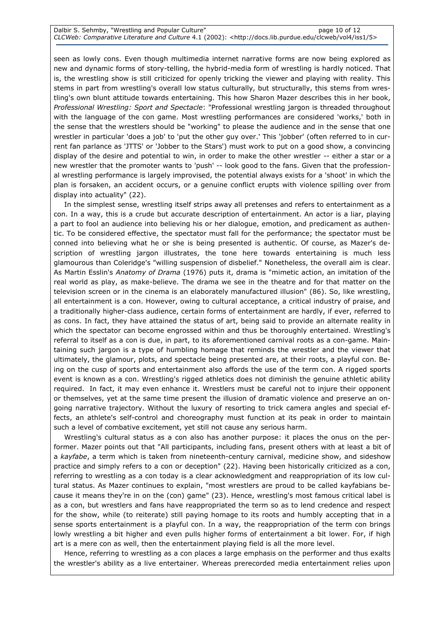seen as lowly cons. Even though multimedia internet narrative forms are now being explored as new and dynamic forms of story-telling, the hybrid-media form of wrestling is hardly noticed. That is, the wrestling show is still criticized for openly tricking the viewer and playing with reality. This stems in part from wrestling's overall low status culturally, but structurally, this stems from wrestling's own blunt attitude towards entertaining. This how Sharon Mazer describes this in her book, Professional Wrestling: Sport and Spectacle: "Professional wrestling jargon is threaded throughout with the language of the con game. Most wrestling performances are considered 'works,' both in the sense that the wrestlers should be "working" to please the audience and in the sense that one wrestler in particular 'does a job' to 'put the other guy over.' This 'jobber' (often referred to in current fan parlance as 'JTTS' or 'Jobber to the Stars') must work to put on a good show, a convincing display of the desire and potential to win, in order to make the other wrestler -- either a star or a new wrestler that the promoter wants to 'push' -- look good to the fans. Given that the professional wrestling performance is largely improvised, the potential always exists for a 'shoot' in which the plan is forsaken, an accident occurs, or a genuine conflict erupts with violence spilling over from display into actuality" (22).

In the simplest sense, wrestling itself strips away all pretenses and refers to entertainment as a con. In a way, this is a crude but accurate description of entertainment. An actor is a liar, playing a part to fool an audience into believing his or her dialogue, emotion, and predicament as authentic. To be considered effective, the spectator must fall for the performance; the spectator must be conned into believing what he or she is being presented is authentic. Of course, as Mazer's description of wrestling jargon illustrates, the tone here towards entertaining is much less glamourous than Coleridge's "willing suspension of disbelief." Nonetheless, the overall aim is clear. As Martin Esslin's Anatomy of Drama (1976) puts it, drama is "mimetic action, an imitation of the real world as play, as make-believe. The drama we see in the theatre and for that matter on the television screen or in the cinema is an elaborately manufactured illusion" (86). So, like wrestling, all entertainment is a con. However, owing to cultural acceptance, a critical industry of praise, and a traditionally higher-class audience, certain forms of entertainment are hardly, if ever, referred to as cons. In fact, they have attained the status of art, being said to provide an alternate reality in which the spectator can become engrossed within and thus be thoroughly entertained. Wrestling's referral to itself as a con is due, in part, to its aforementioned carnival roots as a con-game. Maintaining such jargon is a type of humbling homage that reminds the wrestler and the viewer that ultimately, the glamour, plots, and spectacle being presented are, at their roots, a playful con. Being on the cusp of sports and entertainment also affords the use of the term con. A rigged sports event is known as a con. Wrestling's rigged athletics does not diminish the genuine athletic ability required. In fact, it may even enhance it. Wrestlers must be careful not to injure their opponent or themselves, yet at the same time present the illusion of dramatic violence and preserve an ongoing narrative trajectory. Without the luxury of resorting to trick camera angles and special effects, an athlete's self-control and choreography must function at its peak in order to maintain such a level of combative excitement, yet still not cause any serious harm.

Wrestling's cultural status as a con also has another purpose: it places the onus on the performer. Mazer points out that "All participants, including fans, present others with at least a bit of a kayfabe, a term which is taken from nineteenth-century carnival, medicine show, and sideshow practice and simply refers to a con or deception" (22). Having been historically criticized as a con, referring to wrestling as a con today is a clear acknowledgment and reappropriation of its low cultural status. As Mazer continues to explain, "most wrestlers are proud to be called kayfabians because it means they're in on the (con) game" (23). Hence, wrestling's most famous critical label is as a con, but wrestlers and fans have reappropriated the term so as to lend credence and respect for the show, while (to reiterate) still paying homage to its roots and humbly accepting that in a sense sports entertainment is a playful con. In a way, the reappropriation of the term con brings lowly wrestling a bit higher and even pulls higher forms of entertainment a bit lower. For, if high art is a mere con as well, then the entertainment playing field is all the more level.

Hence, referring to wrestling as a con places a large emphasis on the performer and thus exalts the wrestler's ability as a live entertainer. Whereas prerecorded media entertainment relies upon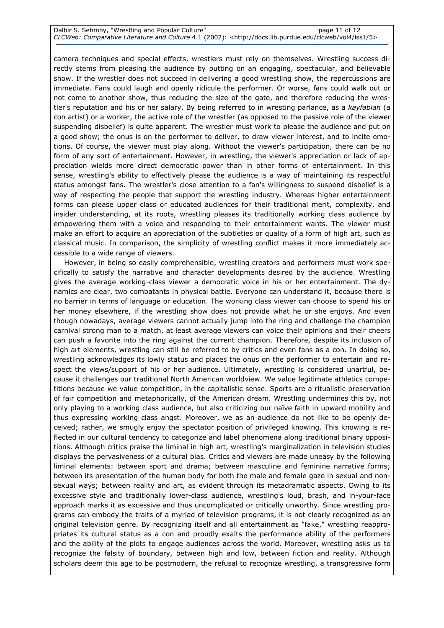camera techniques and special effects, wrestlers must rely on themselves. Wrestling success directly stems from pleasing the audience by putting on an engaging, spectacular, and believable show. If the wrestler does not succeed in delivering a good wrestling show, the repercussions are immediate. Fans could laugh and openly ridicule the performer. Or worse, fans could walk out or not come to another show, thus reducing the size of the gate, and therefore reducing the wrestler's reputation and his or her salary. By being referred to in wresting parlance, as a kayfabian (a con artist) or a worker, the active role of the wrestler (as opposed to the passive role of the viewer suspending disbelief) is quite apparent. The wrestler must work to please the audience and put on a good show; the onus is on the performer to deliver, to draw viewer interest, and to incite emotions. Of course, the viewer must play along. Without the viewer's participation, there can be no form of any sort of entertainment. However, in wrestling, the viewer's appreciation or lack of appreciation wields more direct democratic power than in other forms of entertainment. In this sense, wrestling's ability to effectively please the audience is a way of maintaining its respectful status amongst fans. The wrestler's close attention to a fan's willingness to suspend disbelief is a way of respecting the people that support the wrestling industry. Whereas higher entertainment forms can please upper class or educated audiences for their traditional merit, complexity, and insider understanding, at its roots, wrestling pleases its traditionally working class audience by empowering them with a voice and responding to their entertainment wants. The viewer must make an effort to acquire an appreciation of the subtleties or quality of a form of high art, such as classical music. In comparison, the simplicity of wrestling conflict makes it more immediately accessible to a wide range of viewers.

However, in being so easily comprehensible, wrestling creators and performers must work specifically to satisfy the narrative and character developments desired by the audience. Wrestling gives the average working-class viewer a democratic voice in his or her entertainment. The dynamics are clear, two combatants in physical battle. Everyone can understand it, because there is no barrier in terms of language or education. The working class viewer can choose to spend his or her money elsewhere, if the wrestling show does not provide what he or she enjoys. And even though nowadays, average viewers cannot actually jump into the ring and challenge the champion carnival strong man to a match, at least average viewers can voice their opinions and their cheers can push a favorite into the ring against the current champion. Therefore, despite its inclusion of high art elements, wrestling can still be referred to by critics and even fans as a con. In doing so, wrestling acknowledges its lowly status and places the onus on the performer to entertain and respect the views/support of his or her audience. Ultimately, wrestling is considered unartful, because it challenges our traditional North American worldview. We value legitimate athletics competitions because we value competition, in the capitalistic sense. Sports are a ritualistic preservation of fair competition and metaphorically, of the American dream. Wrestling undermines this by, not only playing to a working class audience, but also criticizing our naïve faith in upward mobility and thus expressing working class angst. Moreover, we as an audience do not like to be openly deceived; rather, we smugly enjoy the spectator position of privileged knowing. This knowing is reflected in our cultural tendency to categorize and label phenomena along traditional binary oppositions. Although critics praise the liminal in high art, wrestling's marginalization in television studies displays the pervasiveness of a cultural bias. Critics and viewers are made uneasy by the following liminal elements: between sport and drama; between masculine and feminine narrative forms; between its presentation of the human body for both the male and female gaze in sexual and nonsexual ways; between reality and art, as evident through its metadramatic aspects. Owing to its excessive style and traditionally lower-class audience, wrestling's loud, brash, and in-your-face approach marks it as excessive and thus uncomplicated or critically unworthy. Since wrestling programs can embody the traits of a myriad of television programs, it is not clearly recognized as an original television genre. By recognizing itself and all entertainment as "fake," wrestling reappropriates its cultural status as a con and proudly exalts the performance ability of the performers and the ability of the plots to engage audiences across the world. Moreover, wrestling asks us to recognize the falsity of boundary, between high and low, between fiction and reality. Although scholars deem this age to be postmodern, the refusal to recognize wrestling, a transgressive form